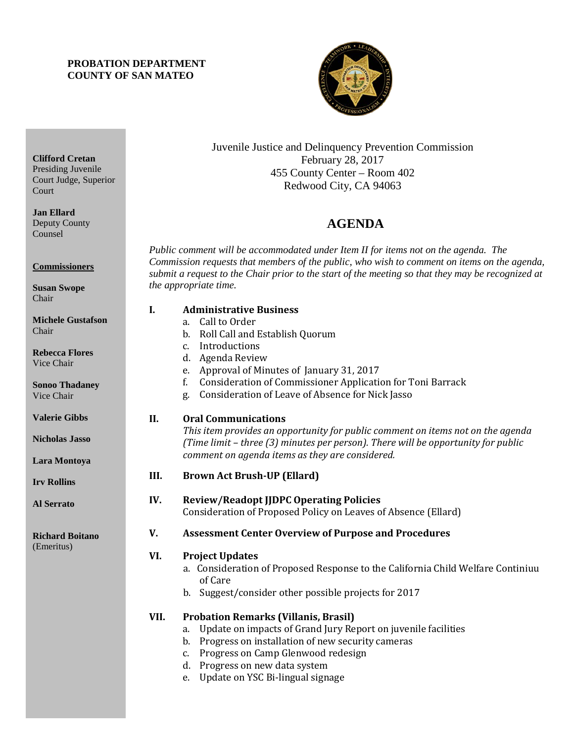## **PROBATION DEPARTMENT COUNTY OF SAN MATEO**



Juvenile Justice and Delinquency Prevention Commission February 28, 2017 455 County Center – Room 402 Redwood City, CA 94063

# 4B**AGENDA**

*Public comment will be accommodated under Item II for items not on the agenda. The Commission requests that members of the public, who wish to comment on items on the agenda, submit a request to the Chair prior to the start of the meeting so that they may be recognized at the appropriate time.* 

|               | I.<br><b>Administrative Business</b> |                                                                                   |  |
|---------------|--------------------------------------|-----------------------------------------------------------------------------------|--|
| $\mathbf{on}$ |                                      | Call to Order<br>a.                                                               |  |
|               |                                      | Roll Call and Establish Quorum<br>b.                                              |  |
|               |                                      | Introductions<br>C <sub>1</sub>                                                   |  |
|               |                                      | Agenda Review<br>d.                                                               |  |
|               |                                      | Approval of Minutes of January 31, 2017<br>e.                                     |  |
|               |                                      | Consideration of Commissioner Application for Toni Barrack<br>f.                  |  |
|               |                                      | Consideration of Leave of Absence for Nick Jasso<br>g.                            |  |
|               | II.                                  | <b>Oral Communications</b>                                                        |  |
|               |                                      | This item provides an opportunity for public comment on items not on the agenda   |  |
|               |                                      | (Time limit - three (3) minutes per person). There will be opportunity for public |  |
|               |                                      | comment on agenda items as they are considered.                                   |  |
|               | III.                                 | <b>Brown Act Brush-UP (Ellard)</b>                                                |  |
|               | IV.                                  | <b>Review/Readopt JJDPC Operating Policies</b>                                    |  |
|               |                                      | Consideration of Proposed Policy on Leaves of Absence (Ellard)                    |  |
|               | V.                                   | <b>Assessment Center Overview of Purpose and Procedures</b>                       |  |
|               | VI.                                  | <b>Project Updates</b>                                                            |  |
|               |                                      | a. Consideration of Proposed Response to the California Child Welfare Continiuu   |  |
|               |                                      | of Care                                                                           |  |
|               |                                      | b. Suggest/consider other possible projects for 2017                              |  |
|               | VII.                                 | <b>Probation Remarks (Villanis, Brasil)</b>                                       |  |
|               |                                      | Update on impacts of Grand Jury Report on juvenile facilities<br>a.               |  |
|               |                                      | b. Progress on installation of new security cameras                               |  |
|               |                                      |                                                                                   |  |

- c. Progress on Camp Glenwood redesign
- d. Progress on new data system
- e. Update on YSC Bi-lingual signage

Presiding Juvenile Court Judge, Superior Court

**Clifford Cretan**

**Jan Ellard** Deputy County Counsel

**Commissioners**

**Susan Swope** Chair

|       | <b>Michele Gustafson</b> |
|-------|--------------------------|
| Chair |                          |

**Rebecca Flores** Vice Chair

**Sonoo Thadaney** Vice Chair

**Valerie Gibbs**

**Nicholas Jasso**

**Lara Montoya**

**Irv Rollins** 

**Al Serrato**

**Richard Boitano** (Emeritus)